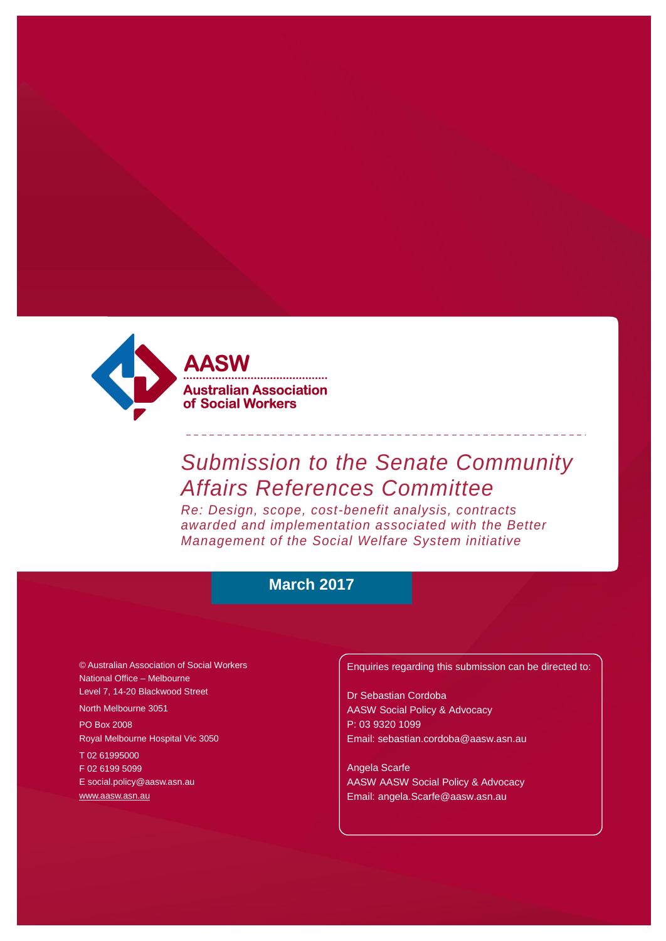

# *Submission to the Senate Community Affairs References Committee*

*Re: Design, scope, cost-benefit analysis, contracts awarded and implementation associated with the Better Management of the Social Welfare System initiative*

### **March 2017**

© Australian Association of Social Workers National Office – Melbourne Level 7, 14-20 Blackwood Street

North Melbourne 3051

PO Box 2008 Royal Melbourne Hospital Vic 3050

T 02 61995000 F 02 6199 5099 [E social.policy@aasw.asn.au](mailto:advocacy@aasw.asn.au) [www.aasw.asn.au](http://www.aasw.asn.au/)

Enquiries regarding this submission can be directed to:

Dr Sebastian Cordoba AASW Social Policy & Advocacy P: 03 9320 1099 [Email: sebastian.cordoba@aasw.asn.au](mailto:sebastian.cordoba@aasw.asn.au)

Angela Scarfe AASW AASW Social Policy & Advocacy Email: angela.Scarfe@aasw.asn.au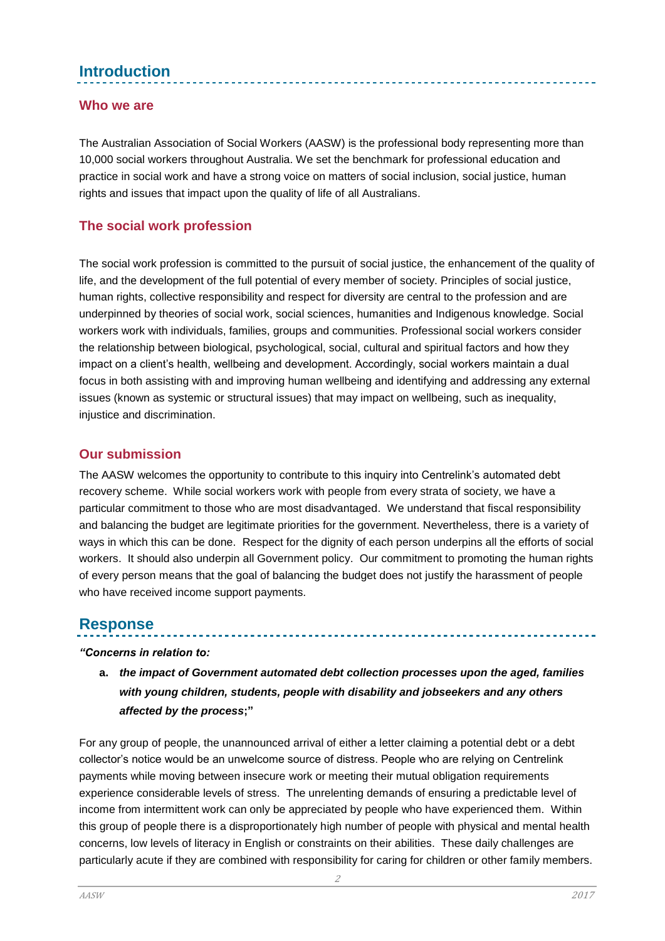## **Introduction**

### **Who we are**

The Australian Association of Social Workers (AASW) is the professional body representing more than 10,000 social workers throughout Australia. We set the benchmark for professional education and practice in social work and have a strong voice on matters of social inclusion, social justice, human rights and issues that impact upon the quality of life of all Australians.

### **The social work profession**

The social work profession is committed to the pursuit of social justice, the enhancement of the quality of life, and the development of the full potential of every member of society. Principles of social justice, human rights, collective responsibility and respect for diversity are central to the profession and are underpinned by theories of social work, social sciences, humanities and Indigenous knowledge. Social workers work with individuals, families, groups and communities. Professional social workers consider the relationship between biological, psychological, social, cultural and spiritual factors and how they impact on a client's health, wellbeing and development. Accordingly, social workers maintain a dual focus in both assisting with and improving human wellbeing and identifying and addressing any external issues (known as systemic or structural issues) that may impact on wellbeing, such as inequality, injustice and discrimination.

### **Our submission**

The AASW welcomes the opportunity to contribute to this inquiry into Centrelink's automated debt recovery scheme. While social workers work with people from every strata of society, we have a particular commitment to those who are most disadvantaged. We understand that fiscal responsibility and balancing the budget are legitimate priorities for the government. Nevertheless, there is a variety of ways in which this can be done. Respect for the dignity of each person underpins all the efforts of social workers. It should also underpin all Government policy. Our commitment to promoting the human rights of every person means that the goal of balancing the budget does not justify the harassment of people who have received income support payments.

### **Response**

#### *"Concerns in relation to:*

**a.** *the impact of Government automated debt collection processes upon the aged, families with young children, students, people with disability and jobseekers and any others affected by the process***;"**

For any group of people, the unannounced arrival of either a letter claiming a potential debt or a debt collector's notice would be an unwelcome source of distress. People who are relying on Centrelink payments while moving between insecure work or meeting their mutual obligation requirements experience considerable levels of stress. The unrelenting demands of ensuring a predictable level of income from intermittent work can only be appreciated by people who have experienced them. Within this group of people there is a disproportionately high number of people with physical and mental health concerns, low levels of literacy in English or constraints on their abilities. These daily challenges are particularly acute if they are combined with responsibility for caring for children or other family members.

2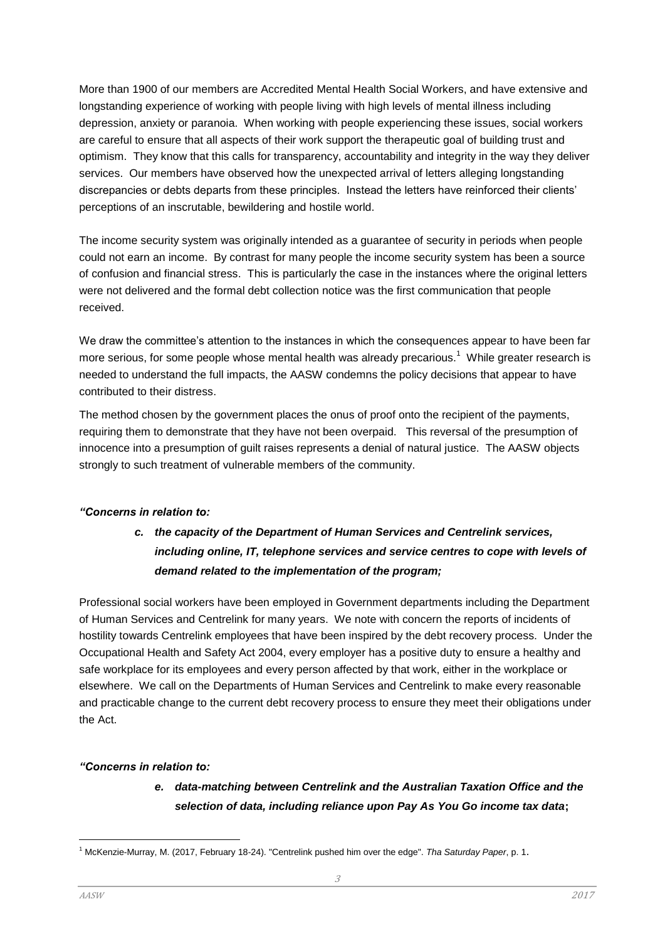More than 1900 of our members are Accredited Mental Health Social Workers, and have extensive and longstanding experience of working with people living with high levels of mental illness including depression, anxiety or paranoia. When working with people experiencing these issues, social workers are careful to ensure that all aspects of their work support the therapeutic goal of building trust and optimism. They know that this calls for transparency, accountability and integrity in the way they deliver services. Our members have observed how the unexpected arrival of letters alleging longstanding discrepancies or debts departs from these principles. Instead the letters have reinforced their clients' perceptions of an inscrutable, bewildering and hostile world.

The income security system was originally intended as a guarantee of security in periods when people could not earn an income. By contrast for many people the income security system has been a source of confusion and financial stress. This is particularly the case in the instances where the original letters were not delivered and the formal debt collection notice was the first communication that people received.

We draw the committee's attention to the instances in which the consequences appear to have been far more serious, for some people whose mental health was already precarious.<sup>1</sup> While greater research is needed to understand the full impacts, the AASW condemns the policy decisions that appear to have contributed to their distress.

The method chosen by the government places the onus of proof onto the recipient of the payments, requiring them to demonstrate that they have not been overpaid. This reversal of the presumption of innocence into a presumption of guilt raises represents a denial of natural justice. The AASW objects strongly to such treatment of vulnerable members of the community.

#### *"Concerns in relation to:*

### *c. the capacity of the Department of Human Services and Centrelink services, including online, IT, telephone services and service centres to cope with levels of demand related to the implementation of the program;*

Professional social workers have been employed in Government departments including the Department of Human Services and Centrelink for many years. We note with concern the reports of incidents of hostility towards Centrelink employees that have been inspired by the debt recovery process. Under the Occupational Health and Safety Act 2004, every employer has a positive duty to ensure a healthy and safe workplace for its employees and every person affected by that work, either in the workplace or elsewhere. We call on the Departments of Human Services and Centrelink to make every reasonable and practicable change to the current debt recovery process to ensure they meet their obligations under the Act.

#### *"Concerns in relation to:*

### *e. data-matching between Centrelink and the Australian Taxation Office and the selection of data, including reliance upon Pay As You Go income tax data***;**

l

<sup>1</sup> McKenzie-Murray, M. (2017, February 18-24). "Centrelink pushed him over the edge". *Tha Saturday Paper*, p. 1.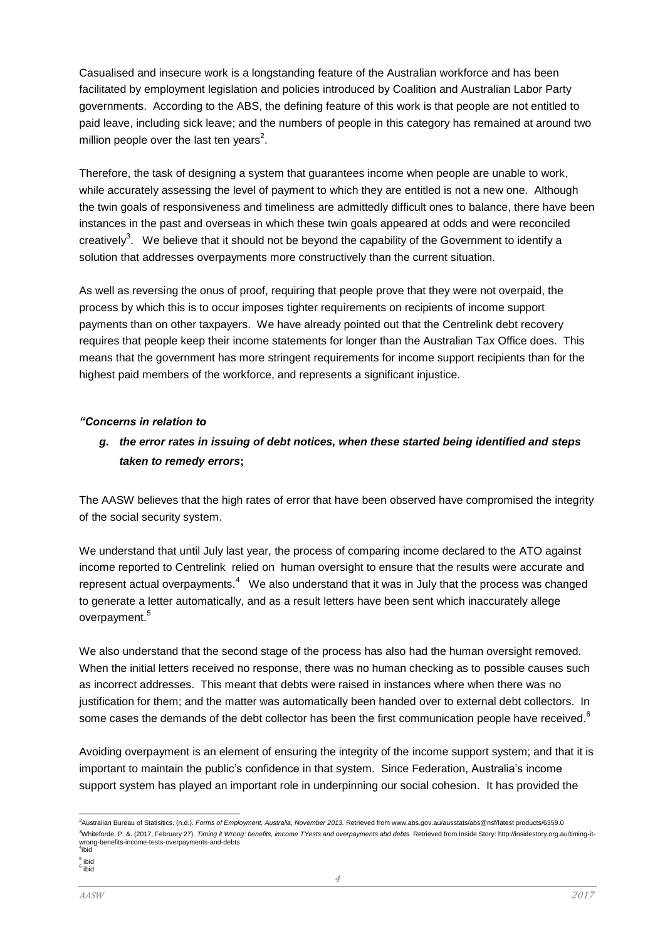Casualised and insecure work is a longstanding feature of the Australian workforce and has been facilitated by employment legislation and policies introduced by Coalition and Australian Labor Party governments. According to the ABS, the defining feature of this work is that people are not entitled to paid leave, including sick leave; and the numbers of people in this category has remained at around two million people over the last ten years<sup>2</sup>.

Therefore, the task of designing a system that guarantees income when people are unable to work, while accurately assessing the level of payment to which they are entitled is not a new one. Although the twin goals of responsiveness and timeliness are admittedly difficult ones to balance, there have been instances in the past and overseas in which these twin goals appeared at odds and were reconciled creatively<sup>3</sup>. We believe that it should not be beyond the capability of the Government to identify a solution that addresses overpayments more constructively than the current situation.

As well as reversing the onus of proof, requiring that people prove that they were not overpaid, the process by which this is to occur imposes tighter requirements on recipients of income support payments than on other taxpayers. We have already pointed out that the Centrelink debt recovery requires that people keep their income statements for longer than the Australian Tax Office does. This means that the government has more stringent requirements for income support recipients than for the highest paid members of the workforce, and represents a significant injustice.

#### *"Concerns in relation to*

### *g. the error rates in issuing of debt notices, when these started being identified and steps taken to remedy errors***;**

The AASW believes that the high rates of error that have been observed have compromised the integrity of the social security system.

We understand that until July last year, the process of comparing income declared to the ATO against income reported to Centrelink relied on human oversight to ensure that the results were accurate and represent actual overpayments. $^4$  We also understand that it was in July that the process was changed to generate a letter automatically, and as a result letters have been sent which inaccurately allege overpayment.<sup>5</sup>

We also understand that the second stage of the process has also had the human oversight removed. When the initial letters received no response, there was no human checking as to possible causes such as incorrect addresses. This meant that debts were raised in instances where when there was no justification for them; and the matter was automatically been handed over to external debt collectors. In some cases the demands of the debt collector has been the first communication people have received.  $^6$ 

Avoiding overpayment is an element of ensuring the integrity of the income support system; and that it is important to maintain the public's confidence in that system. Since Federation, Australia's income support system has played an important role in underpinning our social cohesion. It has provided the

l <sup>2</sup>Australian Bureau of Statisitics. (n.d.), *Forms of Employment, Australia, November 2013*, Retrieved from www.abs.gov.au/ausstats/abs@nsf/latest products/6359.0 <sup>3</sup>Whiteforde, P. &. (2017, February 27). *Timing it Wrong: benefits, imcome TYests and overpayments abd debts.* Retrieved from Inside Story: http://insidestory.org.au/timing-itwrong-benefits-income-tests-overpayments-and-debts<br><sup>4</sup>ibid

<sup>&</sup>lt;sup>5</sup> ibid<br><sup>6</sup> ibid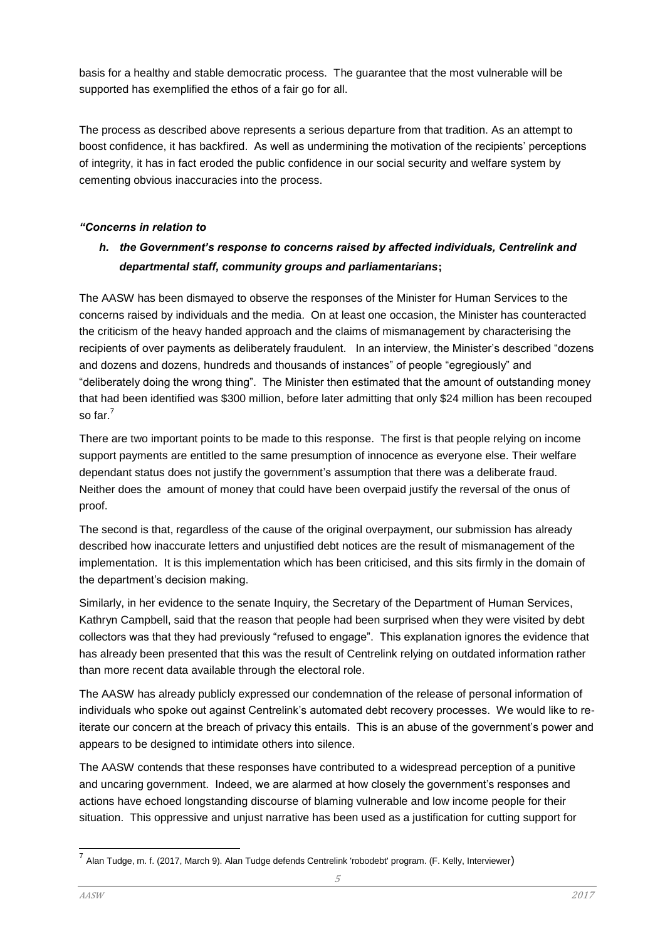basis for a healthy and stable democratic process. The guarantee that the most vulnerable will be supported has exemplified the ethos of a fair go for all.

The process as described above represents a serious departure from that tradition. As an attempt to boost confidence, it has backfired. As well as undermining the motivation of the recipients' perceptions of integrity, it has in fact eroded the public confidence in our social security and welfare system by cementing obvious inaccuracies into the process.

### *"Concerns in relation to*

### *h. the Government's response to concerns raised by affected individuals, Centrelink and departmental staff, community groups and parliamentarians***;**

The AASW has been dismayed to observe the responses of the Minister for Human Services to the concerns raised by individuals and the media. On at least one occasion, the Minister has counteracted the criticism of the heavy handed approach and the claims of mismanagement by characterising the recipients of over payments as deliberately fraudulent. In an interview, the Minister's described "dozens and dozens and dozens, hundreds and thousands of instances" of people "egregiously" and "deliberately doing the wrong thing". The Minister then estimated that the amount of outstanding money that had been identified was \$300 million, before later admitting that only \$24 million has been recouped so far.<sup>7</sup>

There are two important points to be made to this response. The first is that people relying on income support payments are entitled to the same presumption of innocence as everyone else. Their welfare dependant status does not justify the government's assumption that there was a deliberate fraud. Neither does the amount of money that could have been overpaid justify the reversal of the onus of proof.

The second is that, regardless of the cause of the original overpayment, our submission has already described how inaccurate letters and unjustified debt notices are the result of mismanagement of the implementation. It is this implementation which has been criticised, and this sits firmly in the domain of the department's decision making.

Similarly, in her evidence to the senate Inquiry, the Secretary of the Department of Human Services, Kathryn Campbell, said that the reason that people had been surprised when they were visited by debt collectors was that they had previously "refused to engage". This explanation ignores the evidence that has already been presented that this was the result of Centrelink relying on outdated information rather than more recent data available through the electoral role.

The AASW has already publicly expressed our condemnation of the release of personal information of individuals who spoke out against Centrelink's automated debt recovery processes. We would like to reiterate our concern at the breach of privacy this entails. This is an abuse of the government's power and appears to be designed to intimidate others into silence.

The AASW contends that these responses have contributed to a widespread perception of a punitive and uncaring government. Indeed, we are alarmed at how closely the government's responses and actions have echoed longstanding discourse of blaming vulnerable and low income people for their situation. This oppressive and unjust narrative has been used as a justification for cutting support for

l

<sup>&</sup>lt;sup>7</sup> Alan Tudge, m. f. (2017, March 9). Alan Tudge defends Centrelink 'robodebt' program. (F. Kelly, Interviewer)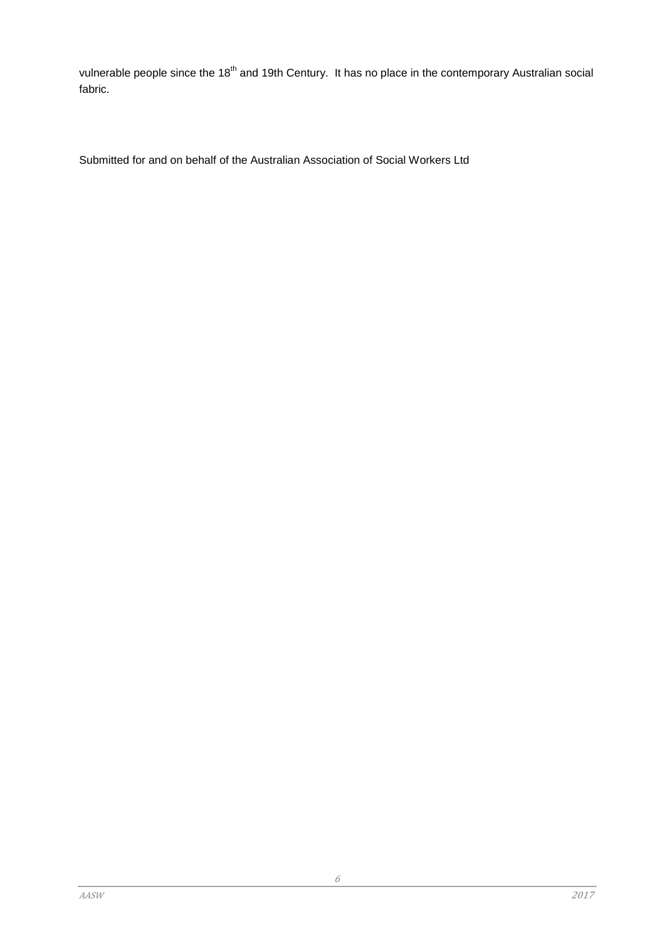vulnerable people since the 18<sup>th</sup> and 19th Century. It has no place in the contemporary Australian social fabric.

Submitted for and on behalf of the Australian Association of Social Workers Ltd